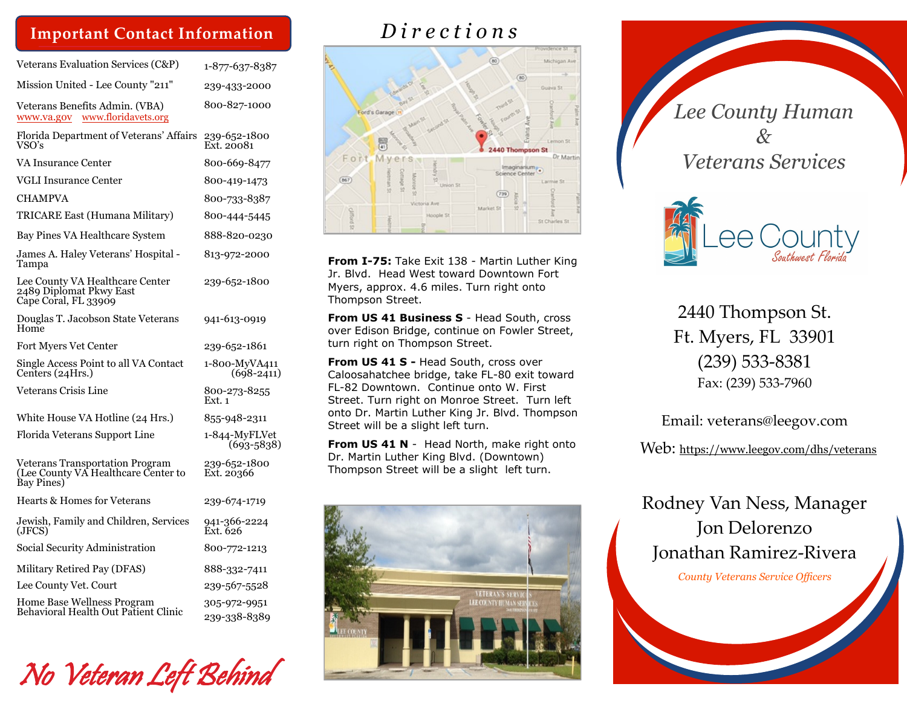#### **Important Contact Information**

| Veterans Evaluation Services (C&P)                                                   | 1-877-637-8387                  |
|--------------------------------------------------------------------------------------|---------------------------------|
| Mission United - Lee County "211"                                                    | 239-433-2000                    |
| Veterans Benefits Admin. (VBA)<br>www.floridavets.org<br>www.va.gov                  | 800-827-1000                    |
| Florida Department of Veterans' Affairs<br>VSO's                                     | 239-652-1800<br>Ext. 20081      |
| VA Insurance Center                                                                  | 800-669-8477                    |
| <b>VGLI Insurance Center</b>                                                         | 800-419-1473                    |
| CHAMPVA                                                                              | 800-733-8387                    |
| TRICARE East (Humana Military)                                                       | 800-444-5445                    |
| Bay Pines VA Healthcare System                                                       | 888-820-0230                    |
| James A. Haley Veterans' Hospital -<br>Tampa                                         | 813-972-2000                    |
| Lee County VA Healthcare Center<br>2489 Diplomat Pkwy East<br>Capé Coral, FL 33909   | 239-652-1800                    |
| Douglas T. Jacobson State Veterans<br>Home                                           | 941-613-0919                    |
| Fort Myers Vet Center                                                                | 239-652-1861                    |
| Single Access Point to all VA Contact<br>Centers (24Hrs.)                            | 1-800-MyVA411<br>$(698 - 2411)$ |
| Veterans Crisis Line                                                                 | 800-273-8255<br>Ext. 1          |
| White House VA Hotline (24 Hrs.)                                                     | 855-948-2311                    |
| Florida Veterans Support Line                                                        | 1-844-MyFLVet<br>$(693 - 5838)$ |
| Veterans Transportation Program<br>(Lee County VA Healthcare Center to<br>Bay Pines) | 239-652-1800<br>Ext. 20366      |
| Hearts & Homes for Veterans                                                          | 239-674-1719                    |
| Jewish, Family and Children, Services<br>(JFCS)                                      | 941-366-2224<br>Ext. 626        |
| Social Security Administration                                                       | 800-772-1213                    |
| Military Retired Pay (DFAS)                                                          | 888-332-7411                    |
| Lee County Vet. Court                                                                | 239-567-5528                    |
| Home Base Wellness Program<br>Behavioral Health Out Patient Clinic                   | 305-972-9951<br>239-338-8389    |



## *D i r e c t i o n s*



**From I-75:** Take Exit 138 - Martin Luther King Jr. Blvd. Head West toward Downtown Fort Myers, approx. 4.6 miles. Turn right onto Thompson Street.

**From US 41 Business S** - Head South, cross over Edison Bridge, continue on Fowler Street, turn right on Thompson Street.

**From US 41 S - Head South, cross over** Caloosahatchee bridge, take FL-80 exit toward FL-82 Downtown. Continue onto W. First Street. Turn right on Monroe Street. Turn left onto Dr. Martin Luther King Jr. Blvd. Thompson Street will be a slight left turn.

**From US 41 N** - Head North, make right onto Dr. Martin Luther King Blvd. (Downtown) Thompson Street will be a slight left turn.





*Lee County Human* 

2440 Thompson St. Ft. Myers, FL 33901 (239) 533-8381 Fax: (239) 533-7960

Email: veterans@leegov.com

Web: <https://www.leegov.com/dhs/veterans>

Rodney Van Ness, Manager Jon Delorenzo Jonathan Ramirez-Rivera

*County Veterans Service Officers*